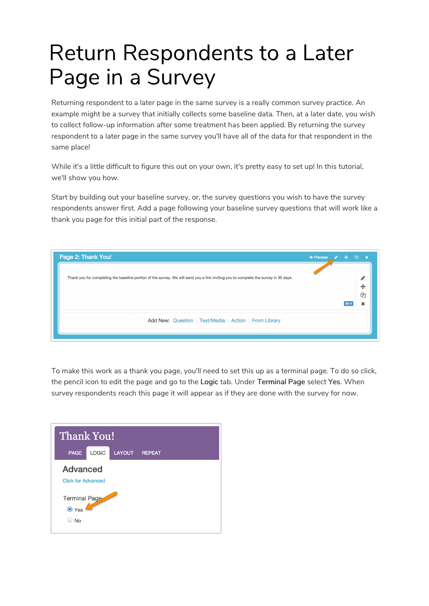# Return Respondents to a Later Page in a Survey

Returning respondent to a later page in the same survey is a really common survey practice. An example might be a survey that initially collects some baseline data. Then, at a later date, you wish to collect follow-up information after some treatment has been applied. By returning the survey respondent to a later page in the same survey you'll have all of the data for that respondent in the same place!

While it's a little difficult to figure this out on your own, it's pretty easy to set up! In this tutorial, we'll show you how.

Start by building out your baseline survey, or, the survey questions you wish to have the survey respondents answer first. Add a page following your baseline survey questions that will work like a thank you page for this initial part of the response.

| Thank you for completing the baseline portion of the survey. We will send you a link inviting you to complete the survey in 30 days. |  |
|--------------------------------------------------------------------------------------------------------------------------------------|--|
|                                                                                                                                      |  |
|                                                                                                                                      |  |
|                                                                                                                                      |  |

To make this work as a thank you page, you'll need to set this up as a terminal page. To do so click, the pencil icon to edit the page and go to the Logic tab. Under Terminal Page select Yes. When survey respondents reach this page it will appear as if they are done with the survey for now.

| <b>Thank You!</b>                            |       |               |               |
|----------------------------------------------|-------|---------------|---------------|
| <b>PAGE</b>                                  | LOGIC | <b>LAYOUT</b> | <b>REPEAT</b> |
| <b>Advanced</b><br><b>Click for Advanced</b> |       |               |               |
| Terminal Page<br>⊙ Yes<br><b>No</b>          |       |               |               |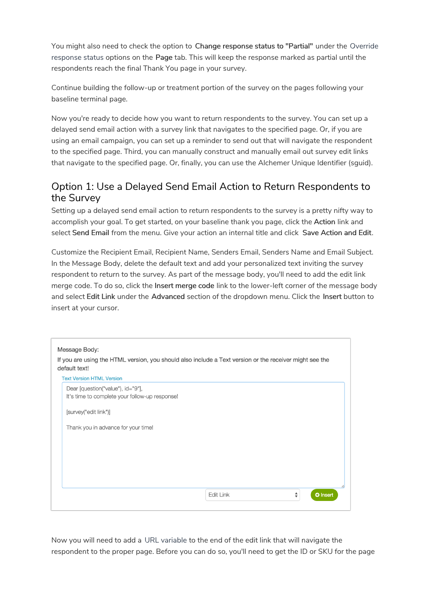You might also need to check the option to Change response status to "Partial" under the Override response status options on the Page tab. This will keep the response marked as partial until the respondents reach the final Thank You page in your survey.

Continue building the follow-up or treatment portion of the survey on the pages following your baseline terminal page.

Now you're ready to decide how you want to return respondents to the survey. You can set up a delayed send email action with a survey link that navigates to the specified page. Or, if you are using an email campaign, you can set up a reminder to send out that will navigate the respondent to the specified page. Third, you can manually construct and manually email out survey edit links that navigate to the specified page. Or, finally, you can use the Alchemer Unique Identifier (sguid).

## Option 1: Use a Delayed Send Email Action to Return Respondents to the Survey

Setting up a delayed send email action to return respondents to the survey is a pretty nifty way to accomplish your goal. To get started, on your baseline thank you page, click the Action link and select Send Email from the menu. Give your action an internal title and click Save Action and Edit.

Customize the Recipient Email, Recipient Name, Senders Email, Senders Name and Email Subject. In the Message Body, delete the default text and add your personalized text inviting the survey respondent to return to the survey. As part of the message body, you'll need to add the edit link merge code. To do so, click the Insert merge code link to the lower-left corner of the message body and select Edit Link under the Advanced section of the dropdown menu. Click the Insert button to insert at your cursor.

| Message Body:<br>If you are using the HTML version, you should also include a Text version or the receiver might see the<br>default text! |                                   |  |
|-------------------------------------------------------------------------------------------------------------------------------------------|-----------------------------------|--|
| <b>Text Version HTML Version</b>                                                                                                          |                                   |  |
| Dear [question("value"), id="9"],<br>It's time to complete your follow-up response!                                                       |                                   |  |
| [survey("edit link")]                                                                                                                     |                                   |  |
| Thank you in advance for your time!                                                                                                       |                                   |  |
|                                                                                                                                           |                                   |  |
|                                                                                                                                           |                                   |  |
|                                                                                                                                           |                                   |  |
|                                                                                                                                           | Edit Link<br>÷<br><b>O</b> Insert |  |
|                                                                                                                                           |                                   |  |

Now you will need to add a URL variable to the end of the edit link that will navigate the respondent to the proper page. Before you can do so, you'll need to get the ID or SKU for the page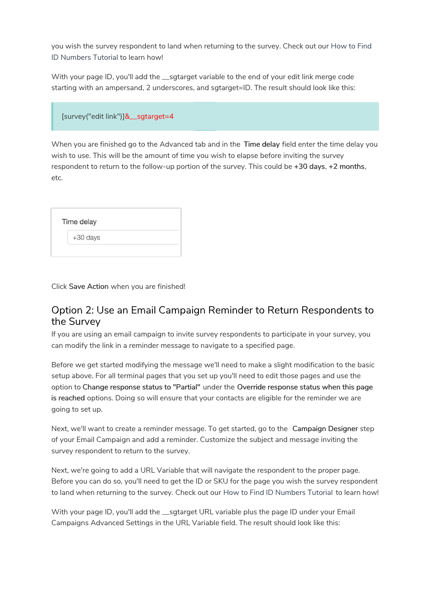you wish the survey respondent to land when returning to the survey. Check out our How to Find ID Numbers Tutorial to learn how!

With your page ID, you'll add the sqtarget variable to the end of your edit link merge code starting with an ampersand, 2 underscores, and sgtarget=ID. The result should look like this:

|  | [survey("edit link")]&_sgtarget=4 |
|--|-----------------------------------|
|--|-----------------------------------|

When you are finished go to the Advanced tab and in the Time delay field enter the time delay you wish to use. This will be the amount of time you wish to elapse before inviting the survey respondent to return to the follow-up portion of the survey. This could be +30 days, +2 months, etc.

| Time delay |  |  |
|------------|--|--|
| +30 days   |  |  |
|            |  |  |

Click Save Action when you are finished!

### Option 2: Use an Email Campaign Reminder to Return Respondents to the Survey

If you are using an email campaign to invite survey respondents to participate in your survey, you can modify the link in a reminder message to navigate to a specified page.

Before we get started modifying the message we'll need to make a slight modification to the basic setup above. For all terminal pages that you set up you'll need to edit those pages and use the option to Change response status to "Partial" under the Override response status when this page is reached options. Doing so will ensure that your contacts are eligible for the reminder we are going to set up.

Next, we'll want to create a reminder message. To get started, go to the Campaign Designer step of your Email Campaign and add a reminder. Customize the subject and message inviting the survey respondent to return to the survey.

Next, we're going to add a URL Variable that will navigate the respondent to the proper page. Before you can do so, you'll need to get the ID or SKU for the page you wish the survey respondent to land when returning to the survey. Check out our How to Find ID Numbers Tutorial to learn how!

With your page ID, you'll add the \_\_sgtarget URL variable plus the page ID under your Email Campaigns Advanced Settings in the URL Variable field. The result should look like this: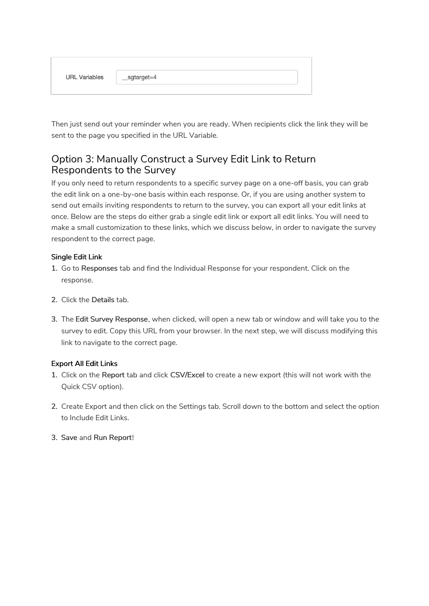| <b>URL Variables</b> | _sgtarget=4 |
|----------------------|-------------|
|                      |             |

Then just send out your reminder when you are ready. When recipients click the link they will be sent to the page you specified in the URL Variable.

## Option 3: Manually Construct a Survey Edit Link to Return Respondents to the Survey

If you only need to return respondents to a specific survey page on a one-off basis, you can grab the edit link on a one-by-one basis within each response. Or, if you are using another system to send out emails inviting respondents to return to the survey, you can export all your edit links at once. Below are the steps do either grab a single edit link or export all edit links. You will need to make a small customization to these links, which we discuss below, in order to navigate the survey respondent to the correct page.

#### Single Edit Link

- 1. Go to Responses tab and find the Individual Response for your respondent. Click on the response.
- 2. Click the Details tab.
- 3. The Edit Survey Response, when clicked, will open a new tab or window and will take you to the survey to edit. Copy this URL from your browser. In the next step, we will discuss modifying this link to navigate to the correct page.

#### Export All Edit Links

- 1. Click on the Report tab and click CSV/Excel to create a new export (this will not work with the Quick CSV option).
- 2. Create Export and then click on the Settings tab. Scroll down to the bottom and select the option to Include Edit Links.
- 3. Save and Run Report!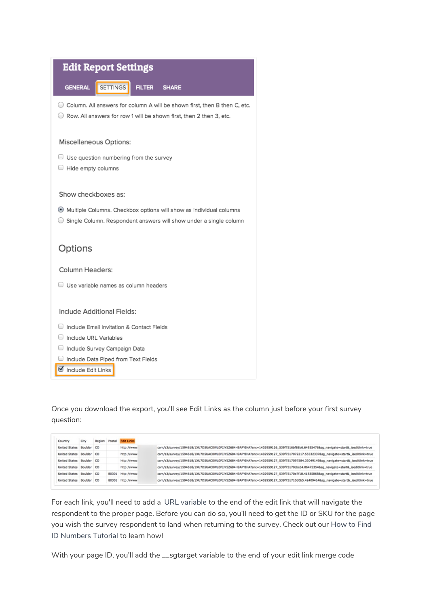|                                             | <b>Edit Report Settings</b>                                         |               |                                                                                                                                                    |
|---------------------------------------------|---------------------------------------------------------------------|---------------|----------------------------------------------------------------------------------------------------------------------------------------------------|
| <b>GENERAL</b>                              | <b>SETTINGS</b>                                                     | <b>FILTER</b> | <b>SHARE</b>                                                                                                                                       |
|                                             |                                                                     |               | ◯ Column. All answers for column A will be shown first, then B then C, etc.<br>Row. All answers for row 1 will be shown first, then 2 then 3, etc. |
| <b>Miscellaneous Options:</b>               |                                                                     |               |                                                                                                                                                    |
| Hide empty columns                          | Use question numbering from the survey                              |               |                                                                                                                                                    |
| Show checkboxes as:                         |                                                                     |               |                                                                                                                                                    |
|                                             |                                                                     |               | Multiple Columns. Checkbox options will show as individual columns<br>Single Column. Respondent answers will show under a single column            |
| Options                                     |                                                                     |               |                                                                                                                                                    |
| Column Headers:                             |                                                                     |               |                                                                                                                                                    |
| $\Box$ Use variable names as column headers |                                                                     |               |                                                                                                                                                    |
| Include Additional Fields:                  |                                                                     |               |                                                                                                                                                    |
|                                             | Include Email Invitation & Contact Fields                           |               |                                                                                                                                                    |
| Include URL Variables                       |                                                                     |               |                                                                                                                                                    |
|                                             | Include Survey Campaign Data<br>Include Data Piped from Text Fields |               |                                                                                                                                                    |
| Include Edit Links<br>$\sim$                |                                                                     |               |                                                                                                                                                    |

Once you download the export, you'll see Edit Links as the column just before your first survey question:

| Country                  | City       | Region | Postal | <b>Edit Links</b> |                                                                                                                                |
|--------------------------|------------|--------|--------|-------------------|--------------------------------------------------------------------------------------------------------------------------------|
| <b>United States</b>     | Boulder CO |        |        | http://www        | com/s3/survey/1594618/1XU7D5UAC0WL0PJJY5Z684H9APYIHA?snc=1402959126_539f7516bf88b6.64935476&sg_navigate=start&_iseditlink=true |
| United States            | Boulder CO |        |        | http://www.       | com/s3/survey/1594618/1XU7D5UAC0WL0PJJY5Z684H9APYIHA?snc=1402959127_539f7517072217.555323378sg_navigate=start&_iseditlink=true |
| <b>United States</b>     | Boulder CO |        |        | http://www.       | com/s3/survey/1594618/1XU7D5UAC0WL0PJJY5Z684H9APYIHA?snc=1402959127_539f7517097584.330491498sg_navigate=start&_iseditlink=true |
| United States Boulder CO |            |        |        | http://www        | com/s3/survey/1594618/1XU7D5UAC0WL0PJJY5Z684H9APYIHA?snc=1402959127_539f75170cbcd4.064753548sq_navigate=start&_iseditlink=true |
| United States Boulder CO |            |        |        | 80301 http://www  | com/s3/survey/1594618/1XU7D5UAC0WL0PJJY5Z684H9APYIHA?snc=1402959127_539f75170e7f18.418358688sg_navigate=start&_iseditlink=true |
| United States Boulder CO |            |        |        | 80301 http://www. | com/s3/survey/1594618/1XU7D5UAC0WL0PJJY5Z684H9APYIHA?snc=1402959127_539f751710d0b5.424094148sg_navigate=start&_iseditlink=true |

For each link, you'll need to add a URL variable to the end of the edit link that will navigate the respondent to the proper page. Before you can do so, you'll need to get the ID or SKU for the page you wish the survey respondent to land when returning to the survey. Check out our How to Find ID Numbers Tutorial to learn how!

With your page ID, you'll add the \_\_sgtarget variable to the end of your edit link merge code